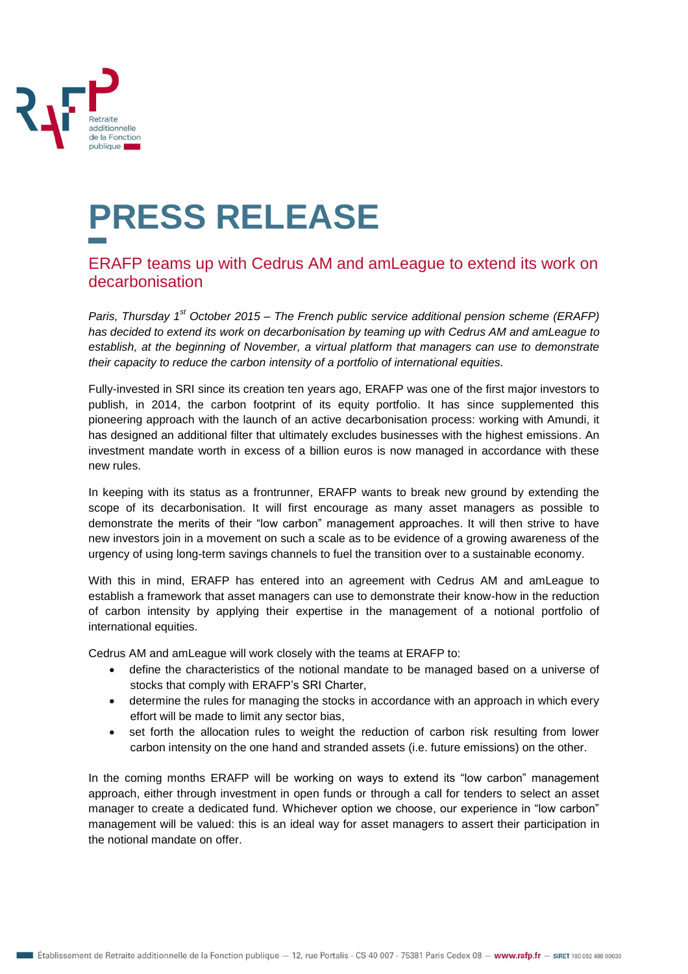

## **PRESS RELEASE**

## ERAFP teams up with Cedrus AM and amLeague to extend its work on decarbonisation

*Paris, Thursday 1st October 2015 – The French public service additional pension scheme (ERAFP) has decided to extend its work on decarbonisation by teaming up with Cedrus AM and amLeague to establish, at the beginning of November, a virtual platform that managers can use to demonstrate their capacity to reduce the carbon intensity of a portfolio of international equities.*

Fully-invested in SRI since its creation ten years ago, ERAFP was one of the first major investors to publish, in 2014, the carbon footprint of its equity portfolio. It has since supplemented this pioneering approach with the launch of an active decarbonisation process: working with Amundi, it has designed an additional filter that ultimately excludes businesses with the highest emissions. An investment mandate worth in excess of a billion euros is now managed in accordance with these new rules.

In keeping with its status as a frontrunner, ERAFP wants to break new ground by extending the scope of its decarbonisation. It will first encourage as many asset managers as possible to demonstrate the merits of their "low carbon" management approaches. It will then strive to have new investors join in a movement on such a scale as to be evidence of a growing awareness of the urgency of using long-term savings channels to fuel the transition over to a sustainable economy.

With this in mind, ERAFP has entered into an agreement with Cedrus AM and amLeague to establish a framework that asset managers can use to demonstrate their know-how in the reduction of carbon intensity by applying their expertise in the management of a notional portfolio of international equities.

Cedrus AM and amLeague will work closely with the teams at ERAFP to:

- define the characteristics of the notional mandate to be managed based on a universe of stocks that comply with ERAFP's SRI Charter,
- determine the rules for managing the stocks in accordance with an approach in which every effort will be made to limit any sector bias,
- set forth the allocation rules to weight the reduction of carbon risk resulting from lower carbon intensity on the one hand and stranded assets (i.e. future emissions) on the other.

In the coming months ERAFP will be working on ways to extend its "low carbon" management approach, either through investment in open funds or through a call for tenders to select an asset manager to create a dedicated fund. Whichever option we choose, our experience in "low carbon" management will be valued: this is an ideal way for asset managers to assert their participation in the notional mandate on offer.